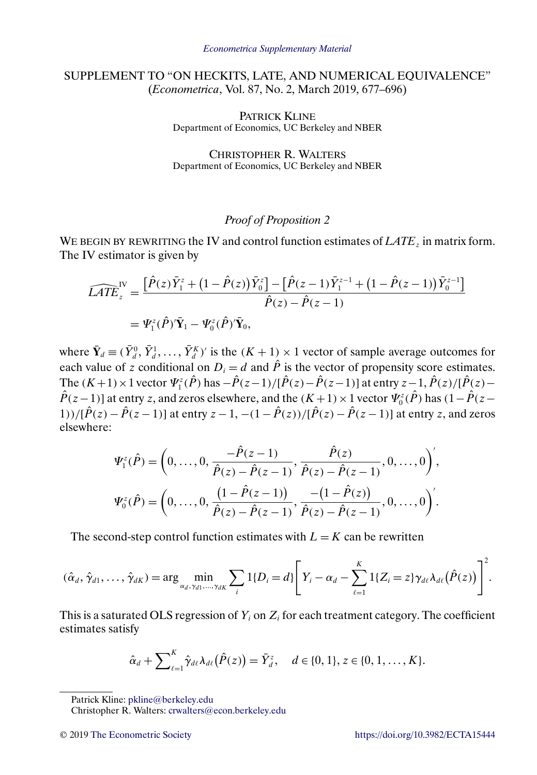## SUPPLEMENT TO "ON HECKITS, LATE, AND NUMERICAL EQUIVALENCE" (*Econometrica*, Vol. 87, No. 2, March 2019, 677–696)

PATRICK KLINE Department of Economics, UC Berkeley and NBER

CHRISTOPHER R. WALTERS Department of Economics, UC Berkeley and NBER

## *Proof of Proposition 2*

WE BEGIN BY REWRITING the IV and control function estimates of *LATE*<sub>z</sub> in matrix form. The IV estimator is given by

$$
\widehat{LATE}_{z}^{\text{IV}} = \frac{\left[\hat{P}(z)\bar{Y}_{1}^{z} + \left(1 - \hat{P}(z)\right)\bar{Y}_{0}^{z}\right] - \left[\hat{P}(z-1)\bar{Y}_{1}^{z-1} + \left(1 - \hat{P}(z-1)\right)\bar{Y}_{0}^{z-1}\right]}{\hat{P}(z) - \hat{P}(z-1)}
$$
\n
$$
= \Psi_{1}^{z}(\hat{P})'\bar{Y}_{1} - \Psi_{0}^{z}(\hat{P})'\bar{Y}_{0},
$$

where  $\bar{\mathbf{Y}}_d \equiv (\bar{Y}_d^0, \bar{Y}_d^1, \dots, \bar{Y}_d^K)'$  is the  $(K+1) \times 1$  vector of sample average outcomes for each value of z conditional on  $D_i = d$  and  $\hat{P}$  is the vector of propensity score estimates. The  $(K+1) \times 1$  vector  $\Psi_1^z(\hat{P})$  has  $-\hat{P}(z-1)/[\hat{P}(z)-\hat{P}(z-1)]$  at entry  $z-1$ ,  $\hat{P}(z)/[\hat{P}(z) \hat{P}(z-1)$ ] at entry z, and zeros elsewhere, and the  $(K+1) \times 1$  vector  $\Psi_0^z(\hat{P})$  has  $(1-\hat{P}(z-1))$ 1))/ $[\hat{P}(z) - \hat{P}(z-1)]$  at entry  $z - 1$ ,  $-(1 - \hat{P}(z))/[\hat{P}(z) - \hat{P}(z-1)]$  at entry z, and zeros elsewhere:

$$
\Psi_1^z(\hat{P}) = \left(0, \ldots, 0, \frac{-\hat{P}(z-1)}{\hat{P}(z) - \hat{P}(z-1)}, \frac{\hat{P}(z)}{\hat{P}(z) - \hat{P}(z-1)}, 0, \ldots, 0\right)',
$$

$$
\Psi_0^z(\hat{P}) = \left(0, \ldots, 0, \frac{(1-\hat{P}(z-1))}{\hat{P}(z) - \hat{P}(z-1)}, \frac{-(1-\hat{P}(z))}{\hat{P}(z) - \hat{P}(z-1)}, 0, \ldots, 0\right)'.
$$

The second-step control function estimates with  $L = K$  can be rewritten

$$
(\hat{\alpha}_d, \hat{\gamma}_{d1}, \ldots, \hat{\gamma}_{dK}) = \arg \min_{\alpha_d, \gamma_{d1}, \ldots, \gamma_{dK}} \sum_i 1\{D_i = d\} \left[ Y_i - \alpha_d - \sum_{\ell=1}^K 1\{Z_i = z\} \gamma_{d\ell} \lambda_{d\ell}(\hat{P}(z)) \right]^2.
$$

This is a saturated OLS regression of  $Y_i$  on  $Z_i$  for each treatment category. The coefficient estimates satisfy

$$
\hat{\alpha}_d + \sum\nolimits_{\ell=1}^K \hat{\gamma}_{d\ell} \lambda_{d\ell}(\hat{P}(z)) = \bar{Y}_d^z, \quad d \in \{0, 1\}, z \in \{0, 1, \ldots, K\}.
$$

Patrick Kline: [pkline@berkeley.edu](mailto:pkline@berkeley.edu)

Christopher R. Walters: [crwalters@econ.berkeley.edu](mailto:crwalters@econ.berkeley.edu)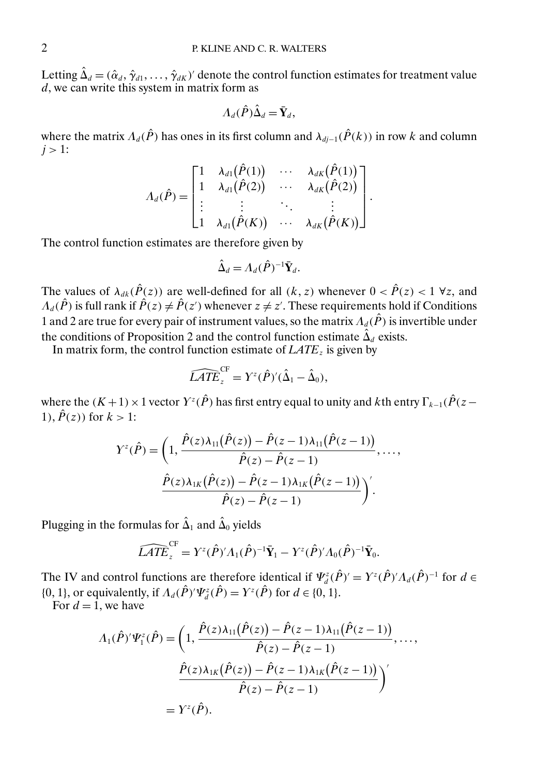Letting  $\hat{\Delta}_d = (\hat{\alpha}_d, \hat{\gamma}_{d1}, \dots, \hat{\gamma}_{dK})'$  denote the control function estimates for treatment value  $d$ , we can write this system in matrix form as

$$
\Lambda_d(\hat{P})\hat{\Delta}_d = \bar{\mathbf{Y}}_d,
$$

where the matrix  $\Lambda_d(\hat{P})$  has ones in its first column and  $\lambda_{di-1}(\hat{P}(k))$  in row k and column  $i > 1$ :

$$
\Lambda_d(\hat{P}) = \begin{bmatrix} 1 & \lambda_{d1}(\hat{P}(1)) & \cdots & \lambda_{dK}(\hat{P}(1)) \\ 1 & \lambda_{d1}(\hat{P}(2)) & \cdots & \lambda_{dK}(\hat{P}(2)) \\ \vdots & \vdots & \ddots & \vdots \\ 1 & \lambda_{d1}(\hat{P}(K)) & \cdots & \lambda_{dK}(\hat{P}(K)) \end{bmatrix}.
$$

The control function estimates are therefore given by

$$
\hat{\Delta}_d = \Lambda_d(\hat{P})^{-1} \bar{\mathbf{Y}}_d.
$$

The values of  $\lambda_{dk}(\hat{P}(z))$  are well-defined for all  $(k, z)$  whenever  $0 < \hat{P}(z) < 1 \ \forall z$ , and  $\Lambda_d(\hat{P})$  is full rank if  $\hat{P}(z) \neq \hat{P}(z')$  whenever  $z \neq z'$ . These requirements hold if Conditions 1 and 2 are true for every pair of instrument values, so the matrix  $\Lambda_d(\hat{P})$  is invertible under the conditions of Proposition 2 and the control function estimate  $\hat{\Delta}_d$  exists.

In matrix form, the control function estimate of  $LATE_z$  is given by<br> $\widehat{LATE_z} = Y^z(\hat{P})'(\hat{\Delta}_1 - \hat{\Delta}_0),$ 

$$
\widehat{LATE}_{z}^{CF} = Y^{z}(\hat{P})'(\hat{\Delta}_{1} - \hat{\Delta}_{0}),
$$

where the  $(K+1) \times 1$  vector  $Y^z(\hat{P})$  has first entry equal to unity and kth entry  $\Gamma_{k-1}(\hat{P}(z-$ 1),  $\hat{P}(z)$  for  $k > 1$ :

$$
Y^{z}(\hat{P}) = \left(1, \frac{\hat{P}(z)\lambda_{11}(\hat{P}(z)) - \hat{P}(z-1)\lambda_{11}(\hat{P}(z-1))}{\hat{P}(z) - \hat{P}(z-1)}, \dots, \frac{\hat{P}(z)\lambda_{1K}(\hat{P}(z)) - \hat{P}(z-1)\lambda_{1K}(\hat{P}(z-1))}{\hat{P}(z) - \hat{P}(z-1)}\right)'.
$$

Plugging in the formulas for  $\hat{\Delta}_1$  and  $\hat{\Delta}_0$  yields<br> $\widehat{LATE}^{\text{CF}} = Y^z(\hat{P})'A_1(\hat{P})^{-1}$ 

$$
\widehat{LATE}_{z}^{CF} = Y^{z}(\hat{P})'A_{1}(\hat{P})^{-1}\bar{Y}_{1} - Y^{z}(\hat{P})'A_{0}(\hat{P})^{-1}\bar{Y}_{0}.
$$

The IV and control functions are therefore identical if  $\Psi_d^z(\hat{P})' = Y^z(\hat{P})' A_d(\hat{P})^{-1}$  for  $d \in$ {0, 1}, or equivalently, if  $\Lambda_d(\hat{P})' \Psi_d^z(\hat{P}) = Y^z(\hat{P})$  for  $d \in \{0, 1\}$ .

For  $d = 1$ , we have

$$
\Lambda_1(\hat{P})'\Psi_1^z(\hat{P}) = \left(1, \frac{\hat{P}(z)\lambda_{11}(\hat{P}(z)) - \hat{P}(z-1)\lambda_{11}(\hat{P}(z-1))}{\hat{P}(z) - \hat{P}(z-1)}, \dots, \frac{\hat{P}(z)\lambda_{1K}(\hat{P}(z)) - \hat{P}(z-1)\lambda_{1K}(\hat{P}(z-1))}{\hat{P}(z) - \hat{P}(z-1)}\right)'
$$

$$
= Y^z(\hat{P}).
$$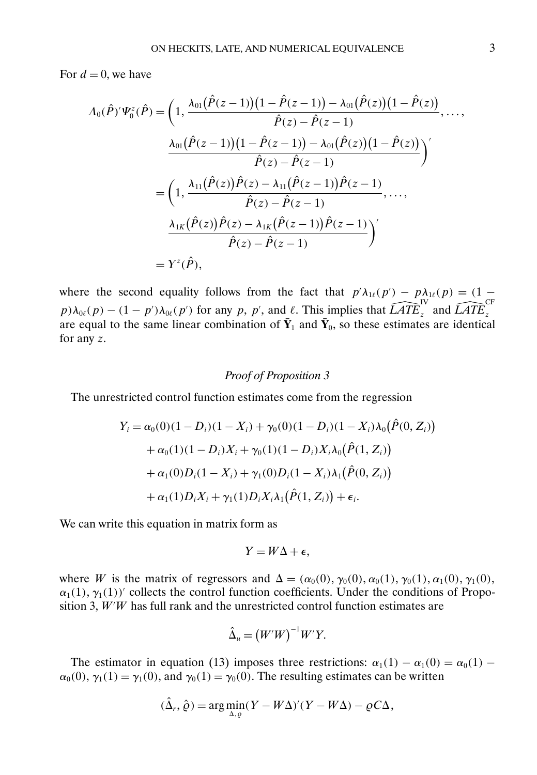For  $d = 0$ , we have

$$
\Lambda_0(\hat{P})'\Psi_0^z(\hat{P}) = \left(1, \frac{\lambda_{01}(\hat{P}(z-1))(1-\hat{P}(z-1)) - \lambda_{01}(\hat{P}(z))(1-\hat{P}(z))}{\hat{P}(z) - \hat{P}(z-1)}, \dots, \frac{\lambda_{01}(\hat{P}(z-1))(1-\hat{P}(z-1)) - \lambda_{01}(\hat{P}(z))(1-\hat{P}(z))}{\hat{P}(z) - \hat{P}(z-1)}\right)'
$$
\n
$$
= \left(1, \frac{\lambda_{11}(\hat{P}(z))\hat{P}(z) - \lambda_{11}(\hat{P}(z-1))\hat{P}(z-1)}{\hat{P}(z) - \hat{P}(z-1)}, \dots, \frac{\lambda_{1K}(\hat{P}(z))\hat{P}(z) - \lambda_{1K}(\hat{P}(z-1))\hat{P}(z-1)}{\hat{P}(z) - \hat{P}(z-1)}\right)'
$$
\n
$$
= Y^z(\hat{P}),
$$

where the second equality follows from the fact that  $p'\lambda_{1\ell}(p') - p\lambda_{1\ell}(p) = (1 - p')\lambda_{1\ell}(p)$ where the second equality follows from the fact that  $p'\lambda_{1\ell}(p') - p$ <br> $p)\lambda_{0\ell}(p) - (1 - p')\lambda_{0\ell}(p')$  for any p, p', and  $\ell$ . This implies that  $\widehat{LATE}$ IV  $\lambda_{1\ell}(p) = (1$ <br><sup>IV</sup><sub>z</sub> and *LATE* CF  $P_{\text{P}}/N_{0k}(P)$  (1)  $P_{\text{P}}/N_{0k}(P)$  for any  $P_{\text{P}}$ ,  $P_{\text{P}}$ , and  $\ell$ . This implies that  $Z_{\text{P}}/Z_{\text{P}}$  and  $Z_{\text{P}}/Z_{\text{P}}$  are equal to the same linear combination of  $\bar{Y}_1$  and  $\bar{Y}_0$ , so these estimat for any z.

## *Proof of Proposition 3*

The unrestricted control function estimates come from the regression

$$
Y_i = \alpha_0(0)(1 - D_i)(1 - X_i) + \gamma_0(0)(1 - D_i)(1 - X_i)\lambda_0(\hat{P}(0, Z_i))
$$
  
+  $\alpha_0(1)(1 - D_i)X_i + \gamma_0(1)(1 - D_i)X_i\lambda_0(\hat{P}(1, Z_i))$   
+  $\alpha_1(0)D_i(1 - X_i) + \gamma_1(0)D_i(1 - X_i)\lambda_1(\hat{P}(0, Z_i))$   
+  $\alpha_1(1)D_iX_i + \gamma_1(1)D_iX_i\lambda_1(\hat{P}(1, Z_i)) + \epsilon_i.$ 

We can write this equation in matrix form as

$$
Y = W\Delta + \epsilon,
$$

where W is the matrix of regressors and  $\Delta = (\alpha_0(0), \gamma_0(0), \alpha_0(1), \gamma_0(1), \alpha_1(0), \gamma_1(0),$  $\alpha_1(1), \gamma_1(1)$  collects the control function coefficients. Under the conditions of Proposition 3,  $W'W$  has full rank and the unrestricted control function estimates are

$$
\hat{\Delta}_u = (W'W)^{-1}W'Y.
$$

The estimator in equation (13) imposes three restrictions:  $\alpha_1(1) - \alpha_1(0) = \alpha_0(1)$  –  $\alpha_0(0)$ ,  $\gamma_1(1) = \gamma_1(0)$ , and  $\gamma_0(1) = \gamma_0(0)$ . The resulting estimates can be written

$$
(\hat{\Delta}_r, \hat{\varrho}) = \arg\min_{\Delta, \varrho} (Y - W\Delta)'(Y - W\Delta) - \varrho C\Delta,
$$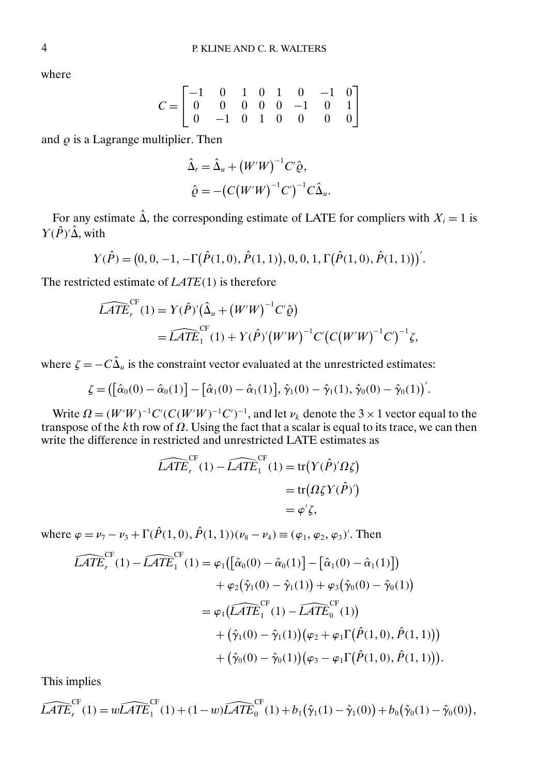where

$$
C = \begin{bmatrix} -1 & 0 & 1 & 0 & 1 & 0 & -1 & 0 \\ 0 & 0 & 0 & 0 & 0 & -1 & 0 & 1 \\ 0 & -1 & 0 & 1 & 0 & 0 & 0 & 0 \end{bmatrix}
$$

and  $\rho$  is a Lagrange multiplier. Then

$$
\hat{\Delta}_r = \hat{\Delta}_u + (W'W)^{-1}C'\hat{\varrho},
$$
  

$$
\hat{\varrho} = -(C(W'W)^{-1}C')^{-1}C\hat{\Delta}_u.
$$

For any estimate  $\hat{\Delta}$ , the corresponding estimate of LATE for compliers with  $X_i = 1$  is  $\Upsilon(\hat{P})'\hat{\Delta}$ , with

$$
Y(\hat{P}) = (0, 0, -1, -\Gamma(\hat{P}(1,0), \hat{P}(1,1)), 0, 0, 1, \Gamma(\hat{P}(1,0), \hat{P}(1,1)))'.
$$

The restricted estimate of 
$$
LATE(1)
$$
 is therefore  
\n
$$
\widehat{LATE_r}^{CF}(1) = Y(\hat{P})'(\hat{\Delta}_u + (W'W)^{-1}C'\hat{\varrho})
$$
\n
$$
= \widehat{LATE_1}^{CF}(1) + Y(\hat{P})'(W'W)^{-1}C'(C(W'W)^{-1}C')^{-1}\zeta,
$$

where  $\zeta = -C\hat{\Delta}_u$  is the constraint vector evaluated at the unrestricted estimates:

$$
\zeta = ([\hat{\alpha}_0(0) - \hat{\alpha}_0(1)] - [\hat{\alpha}_1(0) - \hat{\alpha}_1(1)], \hat{\gamma}_1(0) - \hat{\gamma}_1(1), \hat{\gamma}_0(0) - \hat{\gamma}_0(1)]'.
$$

Write  $\Omega = (W'W)^{-1}C'(C(W'W)^{-1}C')^{-1}$ , and let  $\nu_k$  denote the 3 × 1 vector equal to the transpose of the kth row of  $\Omega$ . Using the fact that a scalar is equal to its trace, we can then write the difference in restricted and unrestricted LATE estimates as  $\widehat{LATE}_r^{\text{CF}}(1) - \widehat{LATE}_1^{\text{CF}}(1) = \text{tr}(Y(\hat{P})' \Omega \zeta)$ 

$$
\widehat{LATE}_r^{\text{CF}}(1) - \widehat{LATE}_1^{\text{CF}}(1) = \text{tr}(Y(\hat{P})'\Omega \zeta)
$$

$$
= \text{tr}(Q\zeta Y(\hat{P})')
$$

$$
= \varphi'\zeta,
$$

where 
$$
\varphi = \nu_7 - \nu_3 + \Gamma(\hat{P}(1,0), \hat{P}(1,1))(\nu_8 - \nu_4) \equiv (\varphi_1, \varphi_2, \varphi_3)'
$$
. Then  
\n
$$
\widehat{LATE}_r^{CF}(1) - \widehat{LATE}_1^{CF}(1) = \varphi_1([\hat{\alpha}_0(0) - \hat{\alpha}_0(1)] - [\hat{\alpha}_1(0) - \hat{\alpha}_1(1)]
$$
\n
$$
+ \varphi_2(\hat{\gamma}_1(0) - \hat{\gamma}_1(1)) + \varphi_3(\hat{\gamma}_0(0) - \hat{\gamma}_0(1))
$$
\n
$$
= \varphi_1(\widehat{LATE}_1^{CF}(1) - \widehat{LATE}_0^{CF}(1))
$$
\n
$$
+ (\hat{\gamma}_1(0) - \hat{\gamma}_1(1))(\varphi_2 + \varphi_1\Gamma(\hat{P}(1,0), \hat{P}(1,1)))
$$
\n
$$
+ (\hat{\gamma}_0(0) - \hat{\gamma}_0(1))(\varphi_3 - \varphi_1\Gamma(\hat{P}(1,0), \hat{P}(1,1))).
$$

This implies  
\n
$$
\widehat{LATE}_r^{CF}(1) = w\widehat{LATE}_1^{CF}(1) + (1-w)\widehat{LATE}_0^{CF}(1) + b_1(\hat{\gamma}_1(1) - \hat{\gamma}_1(0)) + b_0(\hat{\gamma}_0(1) - \hat{\gamma}_0(0)),
$$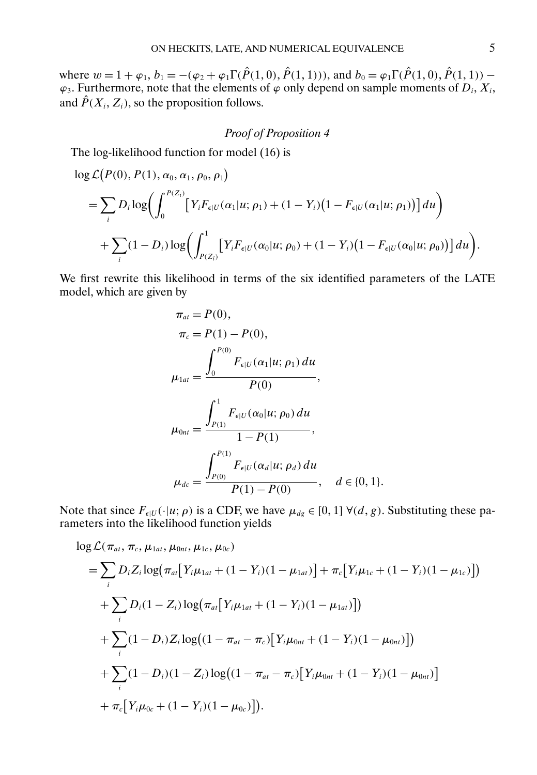where  $w = 1 + \varphi_1$ ,  $b_1 = -(\varphi_2 + \varphi_1 \Gamma(\hat{P}(1,0), \hat{P}(1,1)))$ , and  $b_0 = \varphi_1 \Gamma(\hat{P}(1,0), \hat{P}(1,1))$  –  $\varphi_3$ . Furthermore, note that the elements of  $\varphi$  only depend on sample moments of  $D_i$ ,  $X_i$ , and  $\hat{P}(X_i, Z_i)$ , so the proposition follows.

## *Proof of Proposition 4*

The log-likelihood function for model (16) is

$$
\log L(P(0), P(1), \alpha_0, \alpha_1, \rho_0, \rho_1)
$$
\n
$$
= \sum_{i} D_i \log \left( \int_0^{P(Z_i)} \left[ Y_i F_{\epsilon | U}(\alpha_1 | u; \rho_1) + (1 - Y_i) (1 - F_{\epsilon | U}(\alpha_1 | u; \rho_1)) \right] du \right)
$$
\n
$$
+ \sum_{i} (1 - D_i) \log \left( \int_{P(Z_i)}^1 \left[ Y_i F_{\epsilon | U}(\alpha_0 | u; \rho_0) + (1 - Y_i) (1 - F_{\epsilon | U}(\alpha_0 | u; \rho_0)) \right] du \right).
$$

We first rewrite this likelihood in terms of the six identified parameters of the LATE model, which are given by

$$
\pi_{at} = P(0),
$$
\n
$$
\pi_c = P(1) - P(0),
$$
\n
$$
\mu_{1at} = \frac{\int_0^{P(0)} F_{\epsilon|U}(\alpha_1|u; \rho_1) du}{P(0)},
$$
\n
$$
\mu_{0nt} = \frac{\int_{P(1)}^1 F_{\epsilon|U}(\alpha_0|u; \rho_0) du}{1 - P(1)},
$$
\n
$$
\mu_{dc} = \frac{\int_{P(0)}^{P(1)} F_{\epsilon|U}(\alpha_d|u; \rho_d) du}{P(1) - P(0)}, \quad d \in \{0, 1\}.
$$

Note that since  $F_{\epsilon|U}(\cdot|u;\rho)$  is a CDF, we have  $\mu_{dg} \in [0,1]$   $\forall (d, g)$ . Substituting these parameters into the likelihood function yields

$$
\log \mathcal{L}(\pi_{at}, \pi_c, \mu_{1at}, \mu_{0nt}, \mu_{1c}, \mu_{0c})
$$
\n
$$
= \sum_{i} D_i Z_i \log(\pi_{at} [Y_i \mu_{1at} + (1 - Y_i)(1 - \mu_{1at})] + \pi_c [Y_i \mu_{1c} + (1 - Y_i)(1 - \mu_{1c})])
$$
\n
$$
+ \sum_{i} D_i (1 - Z_i) \log(\pi_{at} [Y_i \mu_{1at} + (1 - Y_i)(1 - \mu_{1at})])
$$
\n
$$
+ \sum_{i} (1 - D_i) Z_i \log((1 - \pi_{at} - \pi_c) [Y_i \mu_{0nt} + (1 - Y_i)(1 - \mu_{0nt})])
$$
\n
$$
+ \sum_{i} (1 - D_i) (1 - Z_i) \log((1 - \pi_{at} - \pi_c) [Y_i \mu_{0nt} + (1 - Y_i)(1 - \mu_{0nt})]
$$
\n
$$
+ \pi_c [Y_i \mu_{0c} + (1 - Y_i)(1 - \mu_{0c})]).
$$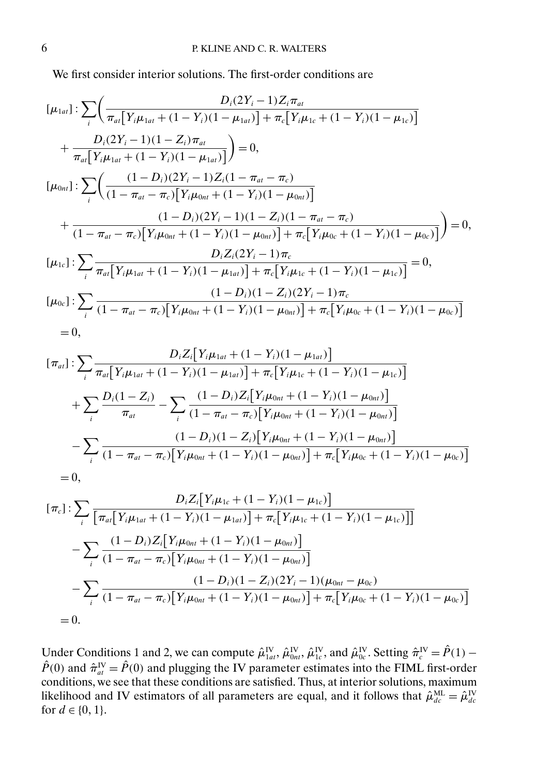We first consider interior solutions. The first-order conditions are

$$
[\mu_{1at}] : \sum_{i} \left( \frac{D_{i}(2Y_{i}-1)Z_{i}\pi_{at}}{\pi_{at}[Y_{i}\mu_{1at}+(1-Y_{i})(1-\mu_{1at})] + \pi_{c}[Y_{i}\mu_{1c}+(1-Y_{i})(1-\mu_{1c})]} + \frac{D_{i}(2Y_{i}-1)(1-Z_{i})\pi_{at}}{\pi_{at}[Y_{i}\mu_{1at}+(1-Y_{i})(1-\mu_{1at})]} \right) = 0,
$$
\n
$$
[\mu_{0nt}] : \sum_{i} \left( \frac{(1-D_{i})(2Y_{i}-1)Z_{i}(1-\pi_{at}-\pi_{c})}{(1-\pi_{at}-\pi_{c})[Y_{i}\mu_{0nt}+(1-Y_{i})(1-\mu_{0nt})]} + \frac{(1-D_{i})(2Y_{i}-1)(1-Z_{i})(1-\pi_{at}-\pi_{c})}{(1-\pi_{at}-\pi_{c})[Y_{i}\mu_{0nt}+(1-Y_{i})(1-\mu_{0nt})] + \pi_{c}[Y_{i}\mu_{0c}+(1-Y_{i})(1-\mu_{0c})]} \right) = 0,
$$
\n
$$
[\mu_{1c}] : \sum_{i} \frac{D_{i}Z_{i}(2Y_{i}-1)\pi_{c}}{\pi_{at}[Y_{i}\mu_{1at}+(1-Y_{i})(1-\mu_{1at})] + \pi_{c}[Y_{i}\mu_{1c}+(1-Y_{i})(1-\mu_{1c})]} = 0,
$$
\n
$$
[\mu_{0c}] : \sum_{i} \frac{(1-D_{i})(1-Z_{i})(2Y_{i}-1)\pi_{c}}{(1-D_{i})(1-Z_{i})(2Y_{i}-1)\pi_{c}}
$$
\n
$$
= 0,
$$

$$
[\pi_{al}] : \sum_{i} \frac{D_{i}Z_{i}[Y_{i}\mu_{1at} + (1 - Y_{i})(1 - \mu_{1at})]}{\pi_{al}[Y_{i}\mu_{1at} + (1 - Y_{i})(1 - \mu_{1at})] + \pi_{c}[Y_{i}\mu_{1c} + (1 - Y_{i})(1 - \mu_{1c})]}
$$
  
+ 
$$
\sum_{i} \frac{D_{i}(1 - Z_{i})}{\pi_{at}} - \sum_{i} \frac{(1 - D_{i})Z_{i}[Y_{i}\mu_{0nt} + (1 - Y_{i})(1 - \mu_{0nt})]}{(1 - \pi_{at} - \pi_{c})[Y_{i}\mu_{0nt} + (1 - Y_{i})(1 - \mu_{0nt})]}
$$
  
- 
$$
\sum_{i} \frac{(1 - D_{i})(1 - Z_{i})[Y_{i}\mu_{0nt} + (1 - Y_{i})(1 - \mu_{0nt})]}{(1 - \pi_{at} - \pi_{c})[Y_{i}\mu_{0nt} + (1 - Y_{i})(1 - \mu_{0nt})] + \pi_{c}[Y_{i}\mu_{0c} + (1 - Y_{i})(1 - \mu_{0c})]}
$$
  
= 0,

$$
[\pi_c]: \sum_{i} \frac{D_i Z_i[Y_i\mu_{1c} + (1 - Y_i)(1 - \mu_{1c})]}{[\pi_{at}[Y_i\mu_{1at} + (1 - Y_i)(1 - \mu_{1a})] + \pi_c[Y_i\mu_{1c} + (1 - Y_i)(1 - \mu_{1c})]]}
$$
  

$$
- \sum_{i} \frac{(1 - D_i)Z_i[Y_i\mu_{0nt} + (1 - Y_i)(1 - \mu_{0nt})]}{(1 - \pi_{at} - \pi_c)[Y_i\mu_{0nt} + (1 - Y_i)(1 - \mu_{0nt})]}
$$
  

$$
- \sum_{i} \frac{(1 - D_i)(1 - Z_i)(2Y_i - 1)(\mu_{0nt} - \mu_{0c})}{(1 - \pi_{at} - \pi_c)[Y_i\mu_{0nt} + (1 - Y_i)(1 - \mu_{0nt})] + \pi_c[Y_i\mu_{0c} + (1 - Y_i)(1 - \mu_{0c})]}
$$
  
= 0.

Under Conditions 1 and 2, we can compute  $\hat{\mu}_{1at}^{IV}, \hat{\mu}_{0nt}^{IV}, \hat{\mu}_{1c}^{IV}$ , and  $\hat{\mu}_{0c}^{IV}$ . Setting  $\hat{\pi}_c^{IV} = \hat{P}(1)$  –  $\hat{P}(0)$  and  $\hat{\pi}_{at}^{IV} = \hat{P}(0)$  and plugging the IV parameter estimates into the FIML first-order conditions, we see that these conditions are satisfied. Thus, at interior solutions, maximum likelihood and IV estimators of all parameters are equal, and it follows that  $\hat{\mu}_{dc}^{\text{ML}} = \hat{\mu}_{dc}^{\text{IV}}$ for  $d \in \{0, 1\}.$